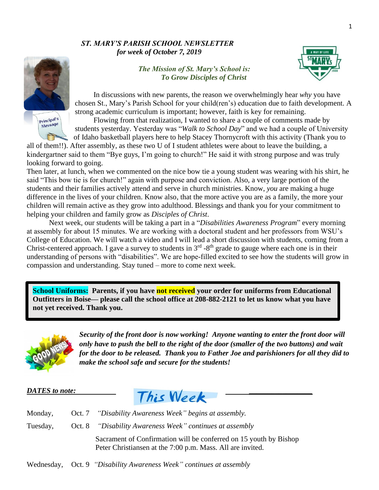## *ST. MARY'S PARISH SCHOOL NEWSLETTER for week of October 7, 2019*



*The Mission of St. Mary's School is: To Grow Disciples of Christ*



In discussions with new parents, the reason we overwhelmingly hear *why* you have chosen St., Mary's Parish School for your child(ren's) education due to faith development. A strong academic curriculum is important; however, faith is key for remaining.

Flowing from that realization, I wanted to share a couple of comments made by students yesterday. Yesterday was "*Walk to School Day*" and we had a couple of University of Idaho basketball players here to help Stacey Thornycroft with this activity (Thank you to

all of them!!). After assembly, as these two U of I student athletes were about to leave the building, a kindergartner said to them "Bye guys, I'm going to church!" He said it with strong purpose and was truly looking forward to going.

Then later, at lunch, when we commented on the nice bow tie a young student was wearing with his shirt, he said "This bow tie is for church!" again with purpose and conviction. Also, a very large portion of the students and their families actively attend and serve in church ministries. Know, *you* are making a huge difference in the lives of your children. Know also, that the more active you are as a family, the more your children will remain active as they grow into adulthood. Blessings and thank you for your commitment to helping your children and family grow as *Disciples of Christ*.

Next week, our students will be taking a part in a "*Disabilities Awareness Program*" every morning at assembly for about 15 minutes. We are working with a doctoral student and her professors from WSU's College of Education. We will watch a video and I will lead a short discussion with students, coming from a Christ-centered approach. I gave a survey to students in  $3<sup>rd</sup>$  -8<sup>th</sup> grade to gauge where each one is in their understanding of persons with "disabilities". We are hope-filled excited to see how the students will grow in compassion and understanding. Stay tuned – more to come next week.

**School Uniforms: Parents, if you have not received your order for uniforms from Educational Outfitters in Boise— please call the school office at 208-882-2121 to let us know what you have not yet received. Thank you.**



*Security of the front door is now working! Anyone wanting to enter the front door will only have to push the bell to the right of the door (smaller of the two buttons) and wait for the door to be released. Thank you to Father Joe and parishioners for all they did to make the school safe and secure for the students!* 



| Monday,  | Oct. 7 <i>"Disability Awareness Week" begins at assembly.</i>                                                                   |
|----------|---------------------------------------------------------------------------------------------------------------------------------|
| Tuesday, | Oct. 8 <i>"Disability Awareness Week" continues at assembly</i>                                                                 |
|          | Sacrament of Confirmation will be conferred on 15 youth by Bishop<br>Peter Christiansen at the 7:00 p.m. Mass. All are invited. |

Wednesday, Oct. 9 *"Disability Awareness Week" continues at assembly*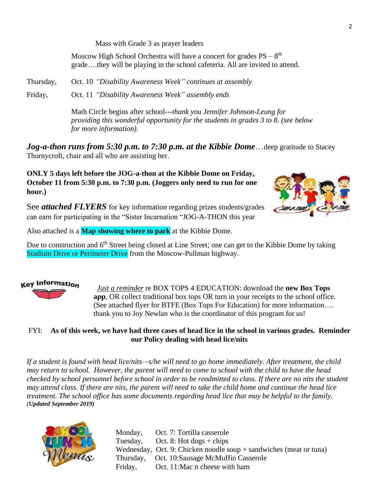Mass with Grade 3 as prayer leaders

Moscow High School Orchestra will have a concert for grades  $PS - 8<sup>th</sup>$ grade….they will be playing in the school cafeteria. All are invited to attend.

Thursday, Oct. 10 *"Disability Awareness Week" continues at assembly*

Friday, Oct. 11 *"Disability Awareness Week" assembly ends*

Math Circle begins after school---*thank you Jennifer Johnson-Leung for providing this wonderful opportunity for the students in grades 3 to 8. (see below for more information).*

Jog-a-thon runs from 5:30 p.m. to 7:30 p.m. at the Kibbie Dome... deep gratitude to Stacey Thornycroft, chair and all who are assisting her.

**ONLY 5 days left before the JOG-a-thon at the Kibbie Dome on Friday, October 11 from 5:30 p.m. to 7:30 p.m. (Joggers only need to run for one hour.)**

See *attached FLYERS* for key information regarding prizes students/grades can earn for participating in the "Sister Incarnation "JOG-A-THON this year

Also attached is a **Map showing where to park** at the Kibbie Dome.

Due to construction and 6<sup>th</sup> Street being closed at Line Street; one can get to the Kibbie Dome by taking Stadium Drive or Perimeter Drive from the Moscow-Pullman highway.

## **Key Information**

 *Just a reminder* re BOX TOPS 4 EDUCATION: download the **new Box Tops app**, OR collect traditional box tops OR turn in your receipts to the school office. (See attached flyer for BTFE (Box Tops For Education) for more information…. thank you to Joy Newlan who is the coordinator of this program for us!

## FYI: **As of this week, we have had three cases of head lice in the school in various grades. Reminder our Policy dealing with head lice/nits**

*If a student is found with head lice/nits—s/he will need to go home immediately. After treatment, the child may return to school. However, the parent will need to come to school with the child to have the head checked by school personnel before school in order to be readmitted to class. If there are no nits the student may attend class. If there are nits, the parent will need to take the child home and continue the head lice treatment. The school office has some documents regarding head lice that may be helpful to the family. (Updated September 2019)*



Monday, Oct. 7: Tortilla casserole Tuesday, Oct. 8: Hot dogs + chips Wednesday, Oct. 9: Chicken noodle soup + sandwiches (meat or tuna) Thursday, Oct. 10:Sausage McMuffin Casserole Friday, Oct. 11:Mac n cheese with ham